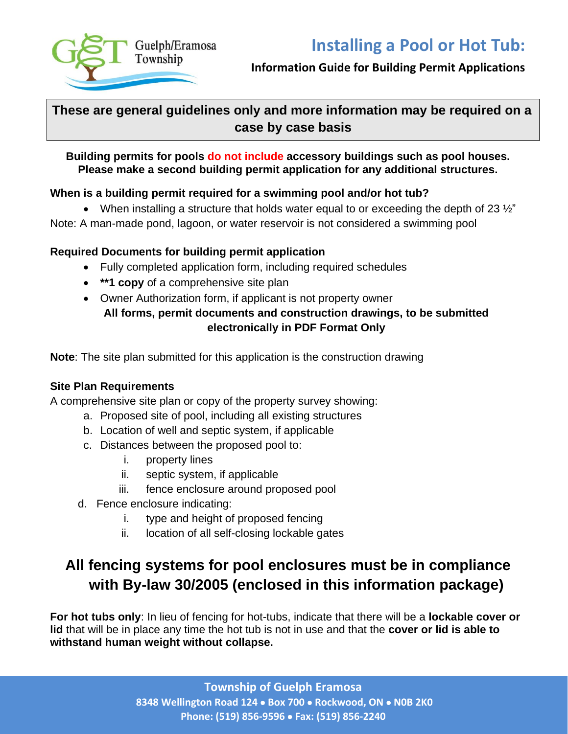

## **Information Guide for Building Permit Applications**

## **These are general guidelines only and more information may be required on a case by case basis**

## **Building permits for pools do not include accessory buildings such as pool houses. Please make a second building permit application for any additional structures.**

## **When is a building permit required for a swimming pool and/or hot tub?**

• When installing a structure that holds water equal to or exceeding the depth of 23  $\frac{1}{2}$ " Note: A man-made pond, lagoon, or water reservoir is not considered a swimming pool

## **Required Documents for building permit application**

- Fully completed application form, including required schedules
- **\*\*1 copy** of a comprehensive site plan
- Owner Authorization form, if applicant is not property owner **All forms, permit documents and construction drawings, to be submitted electronically in PDF Format Only**

**Note**: The site plan submitted for this application is the construction drawing

## **Site Plan Requirements**

A comprehensive site plan or copy of the property survey showing:

- a. Proposed site of pool, including all existing structures
- b. Location of well and septic system, if applicable
- c. Distances between the proposed pool to:
	- i. property lines
	- ii. septic system, if applicable
	- iii. fence enclosure around proposed pool
- d. Fence enclosure indicating:
	- i. type and height of proposed fencing
	- ii. location of all self-closing lockable gates

# **All fencing systems for pool enclosures must be in compliance with By-law 30/2005 (enclosed in this information package)**

**For hot tubs only**: In lieu of fencing for hot-tubs, indicate that there will be a **lockable cover or lid** that will be in place any time the hot tub is not in use and that the **cover or lid is able to withstand human weight without collapse.**

> **Township of Guelph Eramosa 8348 Wellington Road 124** • **Box 700** • **Rockwood, ON** • **N0B 2K0 Phone: (519) 856-9596** • **Fax: (519) 856-2240**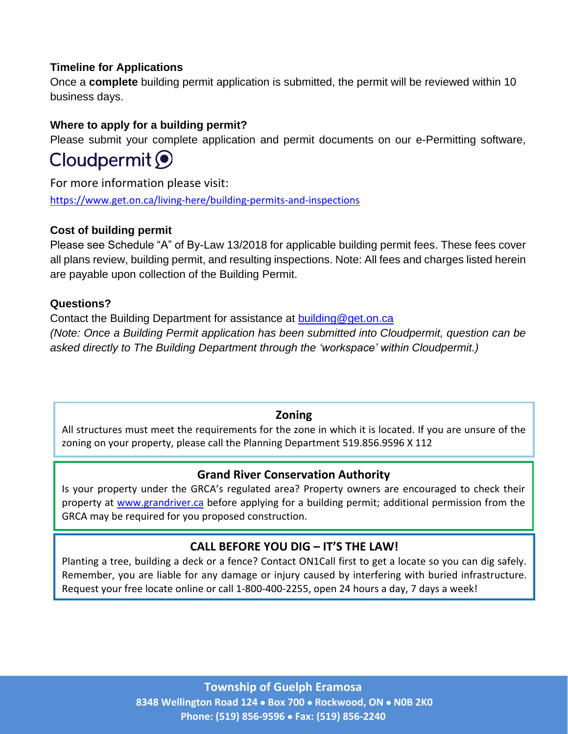## **Timeline for Applications**

Once a **complete** building permit application is submitted, the permit will be reviewed within 10 business days.

## **Where to apply for a building permit?**

Please submit your complete application and permit documents on our e-Permitting software,

# Cloudpermit O

For more information please visit: <https://www.get.on.ca/living-here/building-permits-and-inspections>

## **Cost of building permit**

Please see Schedule "A" of By-Law 13/2018 for applicable building permit fees. These fees cover all plans review, building permit, and resulting inspections. Note: All fees and charges listed herein are payable upon collection of the Building Permit.

## **Questions?**

Contact the Building Department for assistance at **[building@get.on.ca](mailto:building@get.on.ca)** *(Note: Once a Building Permit application has been submitted into Cloudpermit, question can be asked directly to The Building Department through the 'workspace' within Cloudpermit.)*

## **Zoning**

All structures must meet the requirements for the zone in which it is located. If you are unsure of the zoning on your property, please call the Planning Department 519.856.9596 X 112

## **Grand River Conservation Authority**

Is your property under the GRCA's regulated area? Property owners are encouraged to check their property at [www.grandriver.ca](http://www.grandriver.ca/) before applying for a building permit; additional permission from the GRCA may be required for you proposed construction.

## **CALL BEFORE YOU DIG – IT'S THE LAW!**

Planting a tree, building a deck or a fence? Contact ON1Call first to get a locate so you can dig safely. Remember, you are liable for any damage or injury caused by interfering with buried infrastructure. Request your free locate online or call 1-800-400-2255, open 24 hours a day, 7 days a week!

> **Township of Guelph Eramosa 8348 Wellington Road 124** • **Box 700** • **Rockwood, ON** • **N0B 2K0 Phone: (519) 856-9596** • **Fax: (519) 856-2240**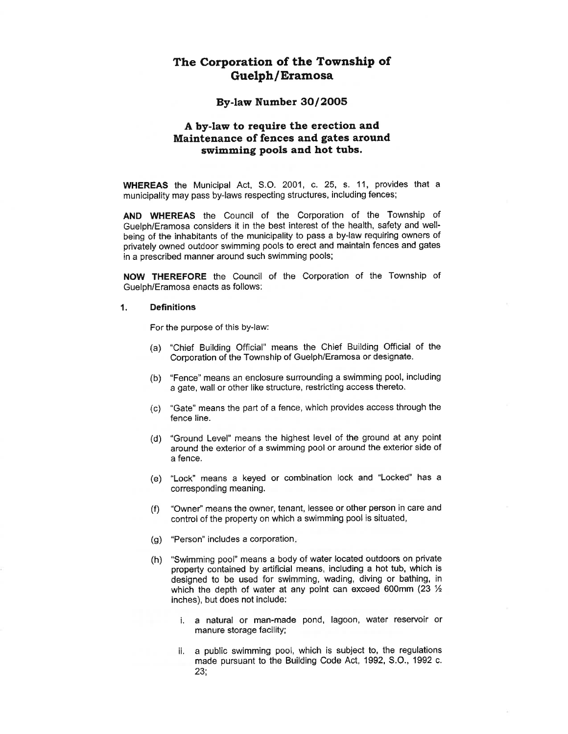## The Corporation of the Township of **Guelph/Eramosa**

### By-law Number 30/2005

### A by-law to require the erection and Maintenance of fences and gates around swimming pools and hot tubs.

WHEREAS the Municipal Act, S.O. 2001, c. 25, s. 11, provides that a municipality may pass by-laws respecting structures, including fences;

AND WHEREAS the Council of the Corporation of the Township of Guelph/Eramosa considers it in the best interest of the health, safety and wellbeing of the inhabitants of the municipality to pass a by-law requiring owners of privately owned outdoor swimming pools to erect and maintain fences and gates in a prescribed manner around such swimming pools;

NOW THEREFORE the Council of the Corporation of the Township of Guelph/Eramosa enacts as follows:

### $\mathbf{1}$ . **Definitions**

For the purpose of this by-law:

- "Chief Building Official" means the Chief Building Official of the  $(a)$ Corporation of the Township of Guelph/Eramosa or designate.
- (b) "Fence" means an enclosure surrounding a swimming pool, including a gate, wall or other like structure, restricting access thereto.
- "Gate" means the part of a fence, which provides access through the  $(c)$ fence line.
- "Ground Level" means the highest level of the ground at any point  $(d)$ around the exterior of a swimming pool or around the exterior side of a fence.
- (e) "Lock" means a keyed or combination lock and "Locked" has a corresponding meaning.
- "Owner" means the owner, tenant, lessee or other person in care and  $(f)$ control of the property on which a swimming pool is situated,
- (g) "Person" includes a corporation.
- (h) "Swimming pool" means a body of water located outdoors on private property contained by artificial means, including a hot tub, which is designed to be used for swimming, wading, diving or bathing, in which the depth of water at any point can exceed 600mm (23  $\frac{1}{2}$ ) inches), but does not include:
	- i. a natural or man-made pond, lagoon, water reservoir or manure storage facility;
	- ii. a public swimming pool, which is subject to, the regulations made pursuant to the Building Code Act, 1992, S.O., 1992 c.  $23:$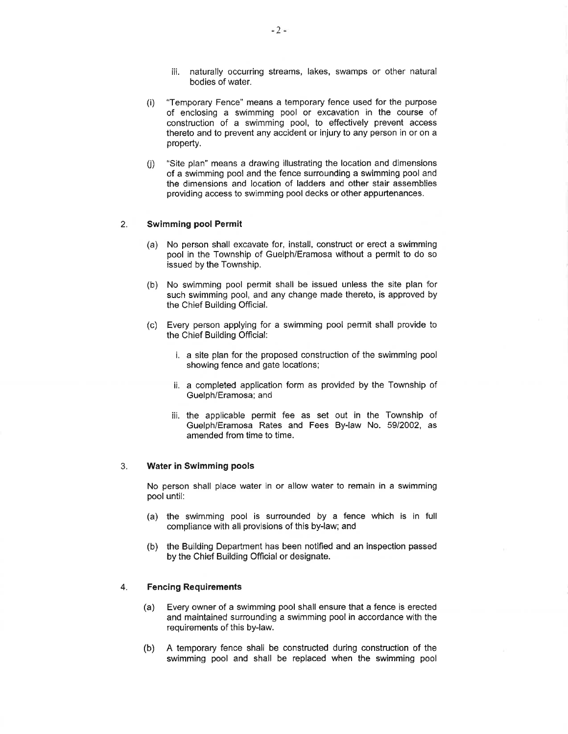- iii. naturally occurring streams, lakes, swamps or other natural bodies of water.
- "Temporary Fence" means a temporary fence used for the purpose  $(i)$ of enclosing a swimming pool or excavation in the course of construction of a swimming pool, to effectively prevent access thereto and to prevent any accident or injury to any person in or on a property.
- "Site plan" means a drawing illustrating the location and dimensions  $(i)$ of a swimming pool and the fence surrounding a swimming pool and the dimensions and location of ladders and other stair assemblies providing access to swimming pool decks or other appurtenances.

### **Swimming pool Permit**  $2.$

- (a) No person shall excavate for, install, construct or erect a swimming pool in the Township of Guelph/Eramosa without a permit to do so issued by the Township.
- (b) No swimming pool permit shall be issued unless the site plan for such swimming pool, and any change made thereto, is approved by the Chief Building Official.
- (c) Every person applying for a swimming pool permit shall provide to the Chief Building Official:
	- i. a site plan for the proposed construction of the swimming pool showing fence and gate locations;
	- ii. a completed application form as provided by the Township of Guelph/Eramosa; and
	- iii. the applicable permit fee as set out in the Township of Guelph/Eramosa Rates and Fees By-law No. 59/2002, as amended from time to time.

#### $3.$ **Water in Swimming pools**

No person shall place water in or allow water to remain in a swimming pool until:

- (a) the swimming pool is surrounded by a fence which is in full compliance with all provisions of this by-law; and
- (b) the Building Department has been notified and an inspection passed by the Chief Building Official or designate.

#### $4.$ **Fencing Requirements**

- Every owner of a swimming pool shall ensure that a fence is erected (a) and maintained surrounding a swimming pool in accordance with the requirements of this by-law.
- (b) A temporary fence shall be constructed during construction of the swimming pool and shall be replaced when the swimming pool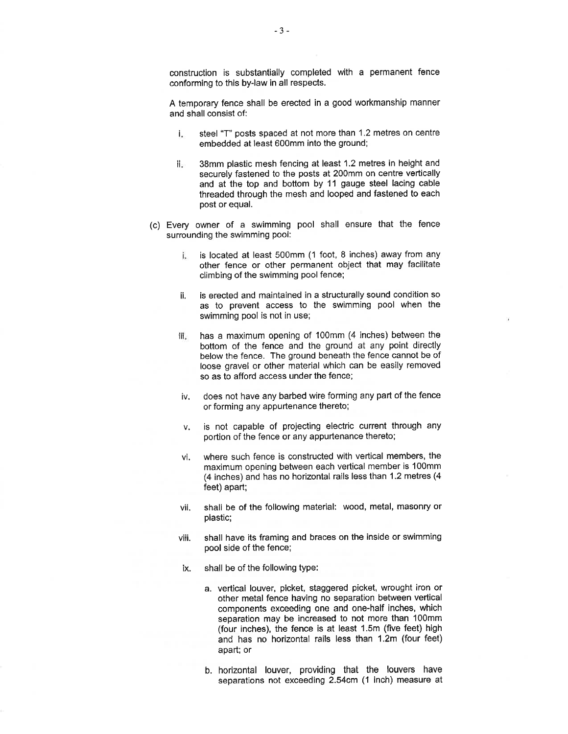construction is substantially completed with a permanent fence conforming to this by-law in all respects.

A temporary fence shall be erected in a good workmanship manner and shall consist of:

- i. steel "T" posts spaced at not more than 1.2 metres on centre embedded at least 600mm into the ground;
- 38mm plastic mesh fencing at least 1.2 metres in height and ii. securely fastened to the posts at 200mm on centre vertically and at the top and bottom by 11 gauge steel lacing cable threaded through the mesh and looped and fastened to each post or equal.
- (c) Every owner of a swimming pool shall ensure that the fence surrounding the swimming pool:
	- is located at least 500mm (1 foot, 8 inches) away from any i. other fence or other permanent object that may facilitate climbing of the swimming pool fence;
	- is erected and maintained in a structurally sound condition so ii. as to prevent access to the swimming pool when the swimming pool is not in use;
	- has a maximum opening of 100mm (4 inches) between the ii. bottom of the fence and the ground at any point directly below the fence. The ground beneath the fence cannot be of loose gravel or other material which can be easily removed so as to afford access under the fence;
	- iv. does not have any barbed wire forming any part of the fence or forming any appurtenance thereto;
	- is not capable of projecting electric current through any v. portion of the fence or any appurtenance thereto;
	- where such fence is constructed with vertical members, the vi. maximum opening between each vertical member is 100mm (4 inches) and has no horizontal rails less than 1.2 metres (4 feet) apart;
	- vii. shall be of the following material: wood, metal, masonry or plastic;
	- shall have its framing and braces on the inside or swimming viii. pool side of the fence;
	- shall be of the following type: ix.
		- a. vertical louver, picket, staggered picket, wrought iron or other metal fence having no separation between vertical components exceeding one and one-half inches, which separation may be increased to not more than 100mm (four inches), the fence is at least 1.5m (five feet) high and has no horizontal rails less than 1.2m (four feet) apart; or
		- b. horizontal louver, providing that the louvers have separations not exceeding 2.54cm (1 inch) measure at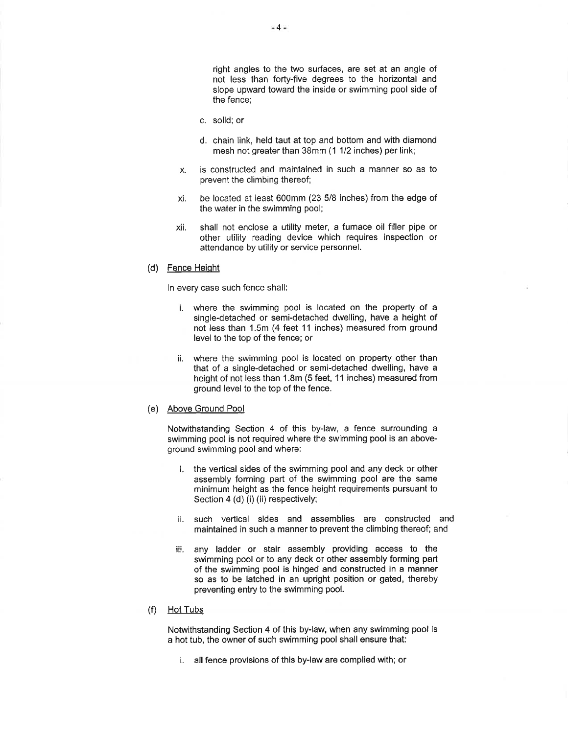right angles to the two surfaces, are set at an angle of not less than forty-five degrees to the horizontal and slope upward toward the inside or swimming pool side of the fence:

- c. solid: or
- d. chain link, held taut at top and bottom and with diamond mesh not greater than 38mm (1 1/2 inches) per link;
- is constructed and maintained in such a manner so as to  $\mathsf{X}$ . prevent the climbing thereof;
- be located at least 600mm (23 5/8 inches) from the edge of xi the water in the swimming pool;
- shall not enclose a utility meter, a furnace oil filler pipe or xii. other utility reading device which requires inspection or attendance by utility or service personnel.

### (d) Fence Height

In every case such fence shall:

- i. where the swimming pool is located on the property of a single-detached or semi-detached dwelling, have a height of not less than 1.5m (4 feet 11 inches) measured from ground level to the top of the fence; or
- ii. where the swimming pool is located on property other than that of a single-detached or semi-detached dwelling, have a height of not less than 1.8m (5 feet, 11 inches) measured from ground level to the top of the fence.

### (e) Above Ground Pool

Notwithstanding Section 4 of this by-law, a fence surrounding a swimming pool is not required where the swimming pool is an aboveground swimming pool and where:

- i. the vertical sides of the swimming pool and any deck or other assembly forming part of the swimming pool are the same minimum height as the fence height requirements pursuant to Section 4 (d) (i) (ii) respectively;
- ii, such vertical sides and assemblies are constructed and maintained in such a manner to prevent the climbing thereof; and
- iii. any ladder or stair assembly providing access to the swimming pool or to any deck or other assembly forming part of the swimming pool is hinged and constructed in a manner so as to be latched in an upright position or gated, thereby preventing entry to the swimming pool.

### $(f)$  Hot Tubs

Notwithstanding Section 4 of this by-law, when any swimming pool is a hot tub, the owner of such swimming pool shall ensure that:

i. all fence provisions of this by-law are complied with; or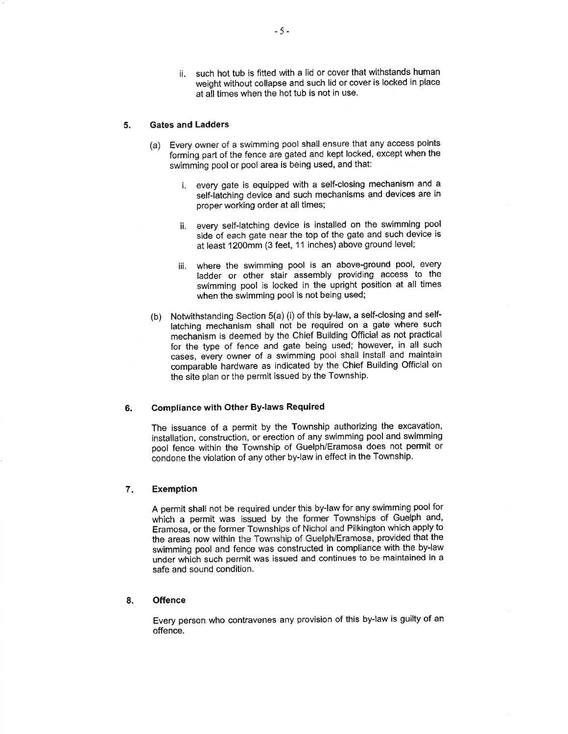ii. such hot tub is fitted with a lid or cover that withstands human weight without collapse and such lid or cover is locked in place at all times when the hot tub is not in use.

#### 5. **Gates and Ladders**

- (a) Every owner of a swimming pool shall ensure that any access points forming part of the fence are gated and kept locked, except when the swimming pool or pool area is being used, and that:
	- i. every gate is equipped with a self-closing mechanism and a self-latching device and such mechanisms and devices are in proper working order at all times;
	- ii. every self-latching device is installed on the swimming pool side of each gate near the top of the gate and such device is at least 1200mm (3 feet, 11 inches) above ground level;
	- where the swimming pool is an above-ground pool, every iii. ladder or other stair assembly providing access to the swimming pool is locked in the upright position at all times when the swimming pool is not being used;
- (b) Notwithstanding Section 5(a) (i) of this by-law, a self-closing and selflatching mechanism shall not be required on a gate where such mechanism is deemed by the Chief Building Official as not practical for the type of fence and gate being used; however, in all such cases, every owner of a swimming pool shall install and maintain comparable hardware as indicated by the Chief Building Official on the site plan or the permit issued by the Township.

### **Compliance with Other By-laws Required** 6.

The issuance of a permit by the Township authorizing the excavation, installation, construction, or erection of any swimming pool and swimming pool fence within the Township of Guelph/Eramosa does not permit or condone the violation of any other by-law in effect in the Township.

### $7.$ **Exemption**

A permit shall not be required under this by-law for any swimming pool for which a permit was issued by the former Townships of Guelph and, Eramosa, or the former Townships of Nichol and Pilkington which apply to the areas now within the Township of Guelph/Eramosa, provided that the swimming pool and fence was constructed in compliance with the by-law under which such permit was issued and continues to be maintained in a safe and sound condition.

#### 8. **Offence**

Every person who contravenes any provision of this by-law is guilty of an offence.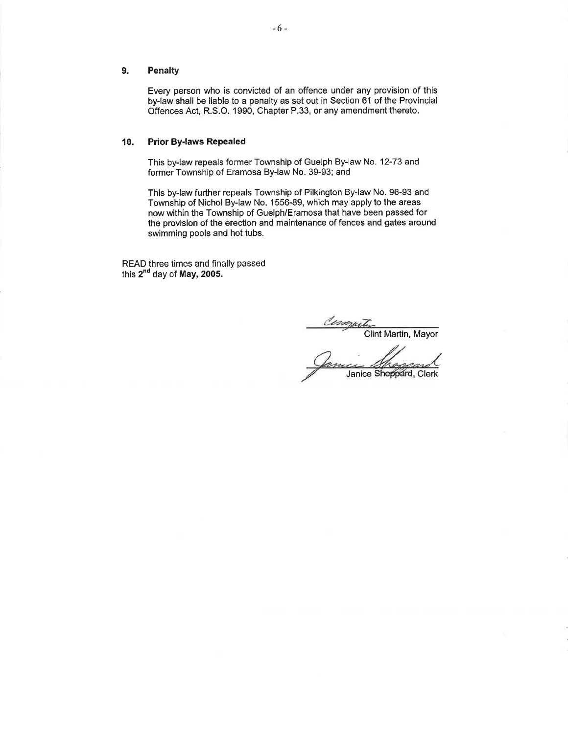### 9. **Penalty**

Every person who is convicted of an offence under any provision of this by-law shall be liable to a penalty as set out in Section 61 of the Provincial Offences Act, R.S.O. 1990, Chapter P.33, or any amendment thereto.

### **Prior By-laws Repealed** 10.

This by-law repeals former Township of Guelph By-law No. 12-73 and former Township of Eramosa By-law No. 39-93; and

This by-law further repeals Township of Pilkington By-law No. 96-93 and Township of Nichol By-law No. 1556-89, which may apply to the areas now within the Township of Guelph/Eramosa that have been passed for the provision of the erection and maintenance of fences and gates around swimming pools and hot tubs.

READ three times and finally passed this 2<sup>nd</sup> day of May, 2005.

Computer<br>Clint Martin, Mayor

Janice Sheppard, Clerk